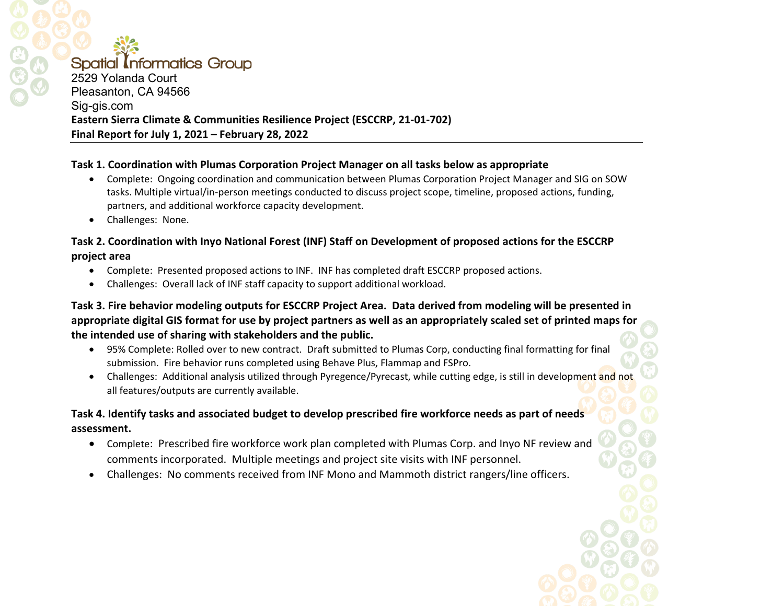### **Spatial Informatics Group** 2529 Yolanda Court Pleasanton, CA 94566

# Sig-gis.com **Eastern Sierra Climate & Communities Resilience Project (ESCCRP, 21-01-702) Final Report for July 1, 2021 – February 28, 2022**

#### **Task 1. Coordination with Plumas Corporation Project Manager on all tasks below as appropriate**

- Complete: Ongoing coordination and communication between Plumas Corporation Project Manager and SIG on SOW tasks. Multiple virtual/in-person meetings conducted to discuss project scope, timeline, proposed actions, funding, partners, and additional workforce capacity development.
- Challenges: None.

## **Task 2. Coordination with Inyo National Forest (INF) Staff on Development of proposed actions for the ESCCRP project area**

- Complete: Presented proposed actions to INF. INF has completed draft ESCCRP proposed actions.
- Challenges: Overall lack of INF staff capacity to support additional workload.

# **Task 3. Fire behavior modeling outputs for ESCCRP Project Area. Data derived from modeling will be presented in appropriate digital GIS format for use by project partners as well as an appropriately scaled set of printed maps for the intended use of sharing with stakeholders and the public.**

- 95% Complete: Rolled over to new contract. Draft submitted to Plumas Corp, conducting final formatting for final submission. Fire behavior runs completed using Behave Plus, Flammap and FSPro.
- Challenges: Additional analysis utilized through Pyregence/Pyrecast, while cutting edge, is still in development and not all features/outputs are currently available.

## **Task 4. Identify tasks and associated budget to develop prescribed fire workforce needs as part of needs assessment.**

- Complete: Prescribed fire workforce work plan completed with Plumas Corp. and Inyo NF review and comments incorporated. Multiple meetings and project site visits with INF personnel.
- Challenges: No comments received from INF Mono and Mammoth district rangers/line officers.